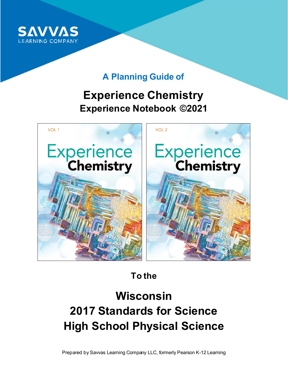

### **A Planning Guide of**

## **Experience Chemistry Experience Notebook ©2021**



**To the**

# **Wisconsin 2017 Standards for Science High School Physical Science**

Prepared by Savvas Learning Company LLC, formerly Pearson K-12 Learning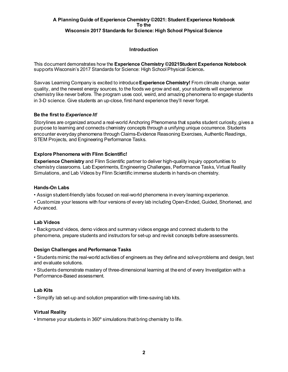#### **Introduction**

This document demonstrates how the **Experience Chemistry ©2021Student Experience Notebook** supports Wisconsin's 2017 Standards for Science: High School Physical Science**.** 

Savvas Learning Company is excited to introduce **Experience Chemistry!** From climate change, water quality, and the newest energy sources, to the foods we grow and eat, your students will experience chemistry like never before. The program uses cool, weird, and amazing phenomena to engage students in 3-D science. Give students an up-close, first-hand experience they'll never forget.

#### **Be the first to** *Experience It!*

Storylines are organized around a real-world Anchoring Phenomena that sparks student curiosity, gives a purpose to learning and connects chemistry concepts through a unifying unique occurrence. Students encounter everyday phenomena through Claims-Evidence Reasoning Exercises, Authentic Readings, STEM Projects, and Engineering Performance Tasks.

#### **Explore Phenomena with Flinn Scientific!**

**Experience Chemistry** and Flinn Scientific partner to deliver high-quality inquiry opportunities to chemistry classrooms. Lab Experiments, Engineering Challenges, Performance Tasks, Virtual Reality Simulations, and Lab Videos by Flinn Scientific immerse students in hands-on chemistry.

#### **Hands-On Labs**

• Assign student-friendly labs focused on real-world phenomena in every learning experience.

• Customize your lessons with four versions of every lab including Open-Ended, Guided, Shortened, and Advanced.

#### **Lab Videos**

• Background videos, demo videos and summary videos engage and connect students to the phenomena, prepare students and instructors for set-up and revisit concepts before assessments.

#### **Design Challenges and Performance Tasks**

• Students mimic the real-world activities of engineers as they define and solve problems and design, test and evaluate solutions.

• Students demonstrate mastery of three-dimensional learning at the end of every Investigation with a Performance-Based assessment.

#### **Lab Kits**

• Simplify lab set-up and solution preparation with time-saving lab kits.

#### **Virtual Reality**

• Immerse your students in 360º simulations that bring chemistry to life.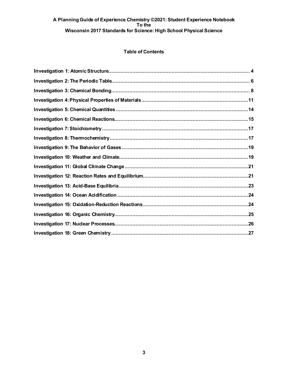#### **Table of Contents**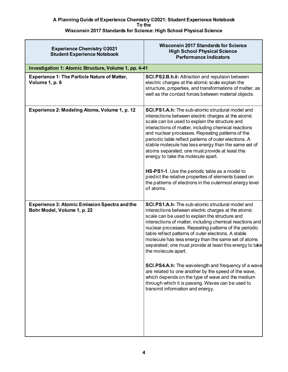| <b>Experience Chemistry ©2021</b><br><b>Student Experience Notebook</b>             | <b>Wisconsin 2017 Standards for Science</b><br><b>High School Physical Science</b><br><b>Performance Indicators</b>                                                                                                                                                                                                                                                                                                                                                                                                                                                                                                                                                                                                                         |
|-------------------------------------------------------------------------------------|---------------------------------------------------------------------------------------------------------------------------------------------------------------------------------------------------------------------------------------------------------------------------------------------------------------------------------------------------------------------------------------------------------------------------------------------------------------------------------------------------------------------------------------------------------------------------------------------------------------------------------------------------------------------------------------------------------------------------------------------|
| Investigation 1: Atomic Structure, Volume 1, pp. 4-41                               |                                                                                                                                                                                                                                                                                                                                                                                                                                                                                                                                                                                                                                                                                                                                             |
| <b>Experience 1: The Particle Nature of Matter,</b><br>Volume 1, p. 6               | <b>SCI.PS2.B.h.ii: Attraction and repulsion between</b><br>electric charges at the atomic scale explain the<br>structure, properties, and transformations of matter, as<br>well as the contact forces between material objects.                                                                                                                                                                                                                                                                                                                                                                                                                                                                                                             |
| Experience 2: Modeling Atoms, Volume 1, p. 12                                       | <b>SCI.PS1.A.h:</b> The sub-atomic structural model and<br>interactions between electric charges at the atomic<br>scale can be used to explain the structure and<br>interactions of matter, including chemical reactions<br>and nuclear processes. Repeating patterns of the<br>periodic table reflect patterns of outer electrons. A<br>stable molecule has less energy than the same set of<br>atoms separated; one must provide at least this<br>energy to take the molecule apart.<br>HS-PS1-1. Use the periodic table as a model to<br>predict the relative properties of elements based on<br>the patterns of electrons in the outermost energy level<br>of atoms.                                                                    |
| <b>Experience 3: Atomic Emission Spectra and the</b><br>Bohr Model, Volume 1, p. 22 | SCI.PS1.A.h: The sub-atomic structural model and<br>interactions between electric charges at the atomic<br>scale can be used to explain the structure and<br>interactions of matter, including chemical reactions and<br>nuclear processes. Repeating patterns of the periodic<br>table reflect patterns of outer electrons. A stable<br>molecule has less energy than the same set of atoms<br>separated; one must provide at least this energy to take<br>the molecule apart.<br>SCI.PS4.A.h: The wavelength and frequency of a wave<br>are related to one another by the speed of the wave,<br>which depends on the type of wave and the medium<br>through which it is passing. Waves can be used to<br>transmit information and energy. |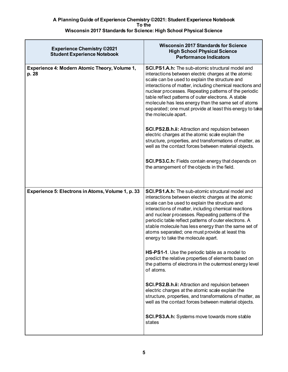| <b>Experience Chemistry ©2021</b><br><b>Student Experience Notebook</b> | <b>Wisconsin 2017 Standards for Science</b><br><b>High School Physical Science</b><br><b>Performance Indicators</b>                                                                                                                                                                                                                                                                                                                                                                    |
|-------------------------------------------------------------------------|----------------------------------------------------------------------------------------------------------------------------------------------------------------------------------------------------------------------------------------------------------------------------------------------------------------------------------------------------------------------------------------------------------------------------------------------------------------------------------------|
| Experience 4: Modern Atomic Theory, Volume 1,<br>p. 28                  | <b>SCI.PS1.A.h:</b> The sub-atomic structural model and<br>interactions between electric charges at the atomic<br>scale can be used to explain the structure and<br>interactions of matter, including chemical reactions and<br>nuclear processes. Repeating patterns of the periodic<br>table reflect patterns of outer electrons. A stable<br>molecule has less energy than the same set of atoms<br>separated; one must provide at least this energy to take<br>the molecule apart. |
|                                                                         | SCI.PS2.B.h.ii: Attraction and repulsion between<br>electric charges at the atomic scale explain the<br>structure, properties, and transformations of matter, as<br>well as the contact forces between material objects.                                                                                                                                                                                                                                                               |
|                                                                         | SCI.PS3.C.h: Fields contain energy that depends on<br>the arrangement of the objects in the field.                                                                                                                                                                                                                                                                                                                                                                                     |
| Experience 5: Electrons in Atoms, Volume 1, p. 33                       | <b>SCI.PS1.A.h:</b> The sub-atomic structural model and<br>interactions between electric charges at the atomic<br>scale can be used to explain the structure and<br>interactions of matter, including chemical reactions<br>and nuclear processes. Repeating patterns of the<br>periodic table reflect patterns of outer electrons. A<br>stable molecule has less energy than the same set of<br>atoms separated; one must provide at least this<br>energy to take the molecule apart. |
|                                                                         | HS-PS1-1. Use the periodic table as a model to<br>predict the relative properties of elements based on<br>the patterns of electrons in the outermost energy level<br>of atoms.                                                                                                                                                                                                                                                                                                         |
|                                                                         | SCI.PS2.B.h.ii: Attraction and repulsion between<br>electric charges at the atomic scale explain the<br>structure, properties, and transformations of matter, as<br>well as the contact forces between material objects.                                                                                                                                                                                                                                                               |
|                                                                         | <b>SCI.PS3.A.h:</b> Systems move towards more stable<br>states                                                                                                                                                                                                                                                                                                                                                                                                                         |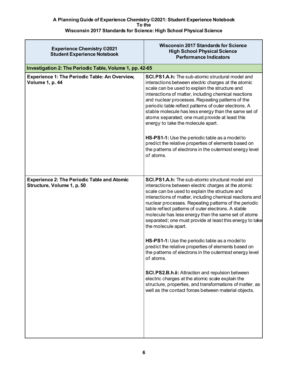| <b>Experience Chemistry ©2021</b><br><b>Student Experience Notebook</b>          | <b>Wisconsin 2017 Standards for Science</b><br><b>High School Physical Science</b><br><b>Performance Indicators</b>                                                                                                                                                                                                                                                                                                                                                                                                                                                                                                                                                      |
|----------------------------------------------------------------------------------|--------------------------------------------------------------------------------------------------------------------------------------------------------------------------------------------------------------------------------------------------------------------------------------------------------------------------------------------------------------------------------------------------------------------------------------------------------------------------------------------------------------------------------------------------------------------------------------------------------------------------------------------------------------------------|
| Investigation 2: The Periodic Table, Volume 1, pp. 42-65                         |                                                                                                                                                                                                                                                                                                                                                                                                                                                                                                                                                                                                                                                                          |
| <b>Experience 1: The Periodic Table: An Overview,</b><br><b>Volume 1, p. 44</b>  | <b>SCI.PS1.A.h:</b> The sub-atomic structural model and<br>interactions between electric charges at the atomic<br>scale can be used to explain the structure and<br>interactions of matter, including chemical reactions<br>and nuclear processes. Repeating patterns of the<br>periodic table reflect patterns of outer electrons. A<br>stable molecule has less energy than the same set of<br>atoms separated; one must provide at least this<br>energy to take the molecule apart.<br>HS-PS1-1: Use the periodic table as a model to<br>predict the relative properties of elements based on<br>the patterns of electrons in the outermost energy level<br>of atoms. |
| <b>Experience 2: The Periodic Table and Atomic</b><br>Structure, Volume 1, p. 50 | SCI.PS1.A.h: The sub-atomic structural model and<br>interactions between electric charges at the atomic<br>scale can be used to explain the structure and<br>interactions of matter, including chemical reactions and<br>nuclear processes. Repeating patterns of the periodic<br>table reflect patterns of outer electrons. A stable<br>molecule has less energy than the same set of atoms<br>separated; one must provide at least this energy to take<br>the molecule apart.                                                                                                                                                                                          |
|                                                                                  | HS-PS1-1: Use the periodic table as a model to<br>predict the relative properties of elements based on<br>the patterns of electrons in the outermost energy level<br>of atoms.                                                                                                                                                                                                                                                                                                                                                                                                                                                                                           |
|                                                                                  | SCI.PS2.B.h.ii: Attraction and repulsion between<br>electric charges at the atomic scale explain the<br>structure, properties, and transformations of matter, as<br>well as the contact forces between material objects.                                                                                                                                                                                                                                                                                                                                                                                                                                                 |
|                                                                                  |                                                                                                                                                                                                                                                                                                                                                                                                                                                                                                                                                                                                                                                                          |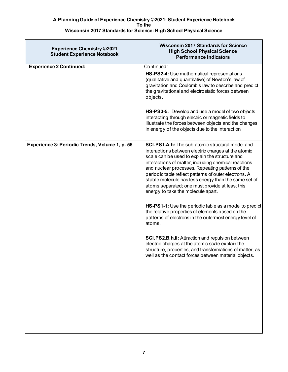| <b>Experience Chemistry ©2021</b><br><b>Student Experience Notebook</b> | <b>Wisconsin 2017 Standards for Science</b><br><b>High School Physical Science</b><br><b>Performance Indicators</b>                                                                                                                                                                                                                                                                                                                                                                    |
|-------------------------------------------------------------------------|----------------------------------------------------------------------------------------------------------------------------------------------------------------------------------------------------------------------------------------------------------------------------------------------------------------------------------------------------------------------------------------------------------------------------------------------------------------------------------------|
| <b>Experience 2 Continued:</b>                                          | Continued:                                                                                                                                                                                                                                                                                                                                                                                                                                                                             |
|                                                                         | HS-PS2-4: Use mathematical representations<br>(qualitative and quantitative) of Newton's law of<br>gravitation and Coulomb's law to describe and predict<br>the gravitational and electrostatic forces between<br>objects.                                                                                                                                                                                                                                                             |
|                                                                         | HS-PS3-5. Develop and use a model of two objects<br>interacting through electric or magnetic fields to<br>illustrate the forces between objects and the changes<br>in energy of the objects due to the interaction.                                                                                                                                                                                                                                                                    |
| Experience 3: Periodic Trends, Volume 1, p. 56                          | <b>SCI.PS1.A.h:</b> The sub-atomic structural model and<br>interactions between electric charges at the atomic<br>scale can be used to explain the structure and<br>interactions of matter, including chemical reactions<br>and nuclear processes. Repeating patterns of the<br>periodic table reflect patterns of outer electrons. A<br>stable molecule has less energy than the same set of<br>atoms separated; one must provide at least this<br>energy to take the molecule apart. |
|                                                                         | HS-PS1-1: Use the periodic table as a model to predict<br>the relative properties of elements based on the<br>patterns of electrons in the outermost energy level of<br>atoms.                                                                                                                                                                                                                                                                                                         |
|                                                                         | <b>SCI.PS2.B.h.ii: Attraction and repulsion between</b><br>electric charges at the atomic scale explain the<br>structure, properties, and transformations of matter, as<br>well as the contact forces between material objects.                                                                                                                                                                                                                                                        |
|                                                                         |                                                                                                                                                                                                                                                                                                                                                                                                                                                                                        |
|                                                                         |                                                                                                                                                                                                                                                                                                                                                                                                                                                                                        |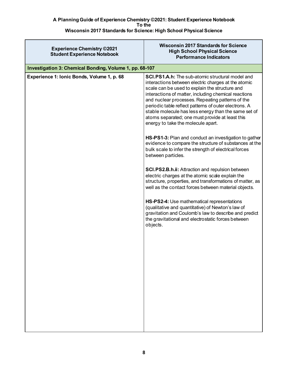| <b>Experience Chemistry ©2021</b><br><b>Student Experience Notebook</b> | <b>Wisconsin 2017 Standards for Science</b><br><b>High School Physical Science</b><br><b>Performance Indicators</b>                                                                                                                                                                                                                                                                                                                                                                    |
|-------------------------------------------------------------------------|----------------------------------------------------------------------------------------------------------------------------------------------------------------------------------------------------------------------------------------------------------------------------------------------------------------------------------------------------------------------------------------------------------------------------------------------------------------------------------------|
| Investigation 3: Chemical Bonding, Volume 1, pp. 68-107                 |                                                                                                                                                                                                                                                                                                                                                                                                                                                                                        |
| Experience 1: Ionic Bonds, Volume 1, p. 68                              | <b>SCI.PS1.A.h:</b> The sub-atomic structural model and<br>interactions between electric charges at the atomic<br>scale can be used to explain the structure and<br>interactions of matter, including chemical reactions<br>and nuclear processes. Repeating patterns of the<br>periodic table reflect patterns of outer electrons. A<br>stable molecule has less energy than the same set of<br>atoms separated; one must provide at least this<br>energy to take the molecule apart. |
|                                                                         | HS-PS1-3: Plan and conduct an investigation to gather<br>evidence to compare the structure of substances at the<br>bulk scale to infer the strength of electrical forces<br>between particles.                                                                                                                                                                                                                                                                                         |
|                                                                         | <b>SCI.PS2.B.h.ii: Attraction and repulsion between</b><br>electric charges at the atomic scale explain the<br>structure, properties, and transformations of matter, as<br>well as the contact forces between material objects.                                                                                                                                                                                                                                                        |
|                                                                         | HS-PS2-4: Use mathematical representations<br>(qualitative and quantitative) of Newton's law of<br>gravitation and Coulomb's law to describe and predict<br>the gravitational and electrostatic forces between<br>objects.                                                                                                                                                                                                                                                             |
|                                                                         |                                                                                                                                                                                                                                                                                                                                                                                                                                                                                        |
|                                                                         |                                                                                                                                                                                                                                                                                                                                                                                                                                                                                        |
|                                                                         |                                                                                                                                                                                                                                                                                                                                                                                                                                                                                        |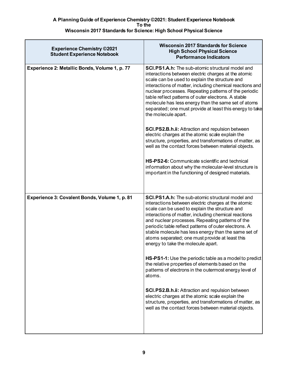| <b>Experience Chemistry ©2021</b><br><b>Student Experience Notebook</b> | <b>Wisconsin 2017 Standards for Science</b><br><b>High School Physical Science</b><br><b>Performance Indicators</b>                                                                                                                                                                                                                                                                                                                                                                    |
|-------------------------------------------------------------------------|----------------------------------------------------------------------------------------------------------------------------------------------------------------------------------------------------------------------------------------------------------------------------------------------------------------------------------------------------------------------------------------------------------------------------------------------------------------------------------------|
| Experience 2: Metallic Bonds, Volume 1, p. 77                           | <b>SCI.PS1.A.h:</b> The sub-atomic structural model and<br>interactions between electric charges at the atomic<br>scale can be used to explain the structure and<br>interactions of matter, including chemical reactions and<br>nuclear processes. Repeating patterns of the periodic<br>table reflect patterns of outer electrons. A stable<br>molecule has less energy than the same set of atoms<br>separated; one must provide at least this energy to take<br>the molecule apart. |
|                                                                         | SCI.PS2.B.h.ii: Attraction and repulsion between<br>electric charges at the atomic scale explain the<br>structure, properties, and transformations of matter, as<br>well as the contact forces between material objects.                                                                                                                                                                                                                                                               |
|                                                                         | HS-PS2-6: Communicate scientific and technical<br>information about why the molecular-level structure is<br>important in the functioning of designed materials.                                                                                                                                                                                                                                                                                                                        |
| Experience 3: Covalent Bonds, Volume 1, p. 81                           | SCI.PS1.A.h: The sub-atomic structural model and                                                                                                                                                                                                                                                                                                                                                                                                                                       |
|                                                                         | interactions between electric charges at the atomic<br>scale can be used to explain the structure and<br>interactions of matter, including chemical reactions<br>and nuclear processes. Repeating patterns of the<br>periodic table reflect patterns of outer electrons. A<br>stable molecule has less energy than the same set of<br>atoms separated; one must provide at least this<br>energy to take the molecule apart.                                                            |
|                                                                         | <b>HS-PS1-1:</b> Use the periodic table as a model to predict<br>the relative properties of elements based on the<br>patterns of electrons in the outermost energy level of<br>atoms.                                                                                                                                                                                                                                                                                                  |
|                                                                         | <b>SCI.PS2.B.h.ii: Attraction and repulsion between</b><br>electric charges at the atomic scale explain the<br>structure, properties, and transformations of matter, as<br>well as the contact forces between material objects.                                                                                                                                                                                                                                                        |
|                                                                         |                                                                                                                                                                                                                                                                                                                                                                                                                                                                                        |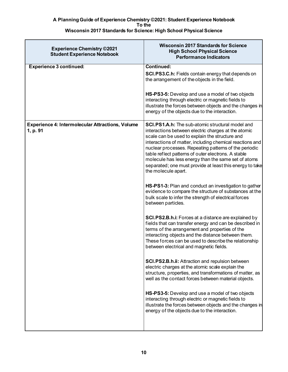| <b>Experience Chemistry ©2021</b><br><b>Student Experience Notebook</b> | <b>Wisconsin 2017 Standards for Science</b><br><b>High School Physical Science</b><br><b>Performance Indicators</b>                                                                                                                                                                                                                                                                                                         |
|-------------------------------------------------------------------------|-----------------------------------------------------------------------------------------------------------------------------------------------------------------------------------------------------------------------------------------------------------------------------------------------------------------------------------------------------------------------------------------------------------------------------|
| <b>Experience 3 continued:</b>                                          | Continued:                                                                                                                                                                                                                                                                                                                                                                                                                  |
|                                                                         | SCI.PS3.C.h: Fields contain energy that depends on<br>the arrangement of the objects in the field.                                                                                                                                                                                                                                                                                                                          |
|                                                                         | HS-PS3-5: Develop and use a model of two objects<br>interacting through electric or magnetic fields to<br>illustrate the forces between objects and the changes in<br>energy of the objects due to the interaction.                                                                                                                                                                                                         |
| <b>Experience 4: Intermolecular Attractions, Volume</b>                 | <b>SCI.PS1.A.h:</b> The sub-atomic structural model and                                                                                                                                                                                                                                                                                                                                                                     |
| 1, p. 91                                                                | interactions between electric charges at the atomic<br>scale can be used to explain the structure and<br>interactions of matter, including chemical reactions and<br>nuclear processes. Repeating patterns of the periodic<br>table reflect patterns of outer electrons. A stable<br>molecule has less energy than the same set of atoms<br>separated; one must provide at least this energy to take<br>the molecule apart. |
|                                                                         | HS-PS1-3: Plan and conduct an investigation to gather<br>evidence to compare the structure of substances at the<br>bulk scale to infer the strength of electrical forces<br>between particles.                                                                                                                                                                                                                              |
|                                                                         | <b>SCI.PS2.B.h.i:</b> Forces at a distance are explained by<br>fields that can transfer energy and can be described in<br>terms of the arrangement and properties of the<br>interacting objects and the distance between them.<br>These forces can be used to describe the relationship<br>between electrical and magnetic fields.                                                                                          |
|                                                                         | SCI.PS2.B.h.ii: Attraction and repulsion between<br>electric charges at the atomic scale explain the<br>structure, properties, and transformations of matter, as<br>well as the contact forces between material objects.                                                                                                                                                                                                    |
|                                                                         | HS-PS3-5: Develop and use a model of two objects<br>interacting through electric or magnetic fields to<br>illustrate the forces between objects and the changes in<br>energy of the objects due to the interaction.                                                                                                                                                                                                         |
|                                                                         |                                                                                                                                                                                                                                                                                                                                                                                                                             |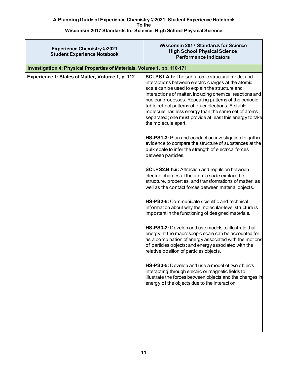| <b>Experience Chemistry ©2021</b><br><b>Student Experience Notebook</b>  | <b>Wisconsin 2017 Standards for Science</b><br><b>High School Physical Science</b><br><b>Performance Indicators</b>                                                                                                                                                                                                                                                                                                                                                                    |
|--------------------------------------------------------------------------|----------------------------------------------------------------------------------------------------------------------------------------------------------------------------------------------------------------------------------------------------------------------------------------------------------------------------------------------------------------------------------------------------------------------------------------------------------------------------------------|
| Investigation 4: Physical Properties of Materials, Volume 1, pp. 110-171 |                                                                                                                                                                                                                                                                                                                                                                                                                                                                                        |
| Experience 1: States of Matter, Volume 1, p. 112                         | <b>SCI.PS1.A.h:</b> The sub-atomic structural model and<br>interactions between electric charges at the atomic<br>scale can be used to explain the structure and<br>interactions of matter, including chemical reactions and<br>nuclear processes. Repeating patterns of the periodic<br>table reflect patterns of outer electrons. A stable<br>molecule has less energy than the same set of atoms<br>separated; one must provide at least this energy to take<br>the molecule apart. |
|                                                                          | HS-PS1-3: Plan and conduct an investigation to gather<br>evidence to compare the structure of substances at the<br>bulk scale to infer the strength of electrical forces<br>between particles.                                                                                                                                                                                                                                                                                         |
|                                                                          | SCI.PS2.B.h.ii: Attraction and repulsion between<br>electric charges at the atomic scale explain the<br>structure, properties, and transformations of matter, as<br>well as the contact forces between material objects.                                                                                                                                                                                                                                                               |
|                                                                          | HS-PS2-6: Communicate scientific and technical<br>information about why the molecular-level structure is<br>important in the functioning of designed materials.                                                                                                                                                                                                                                                                                                                        |
|                                                                          | HS-PS3-2: Develop and use models to illustrate that<br>energy at the macroscopic scale can be accounted for<br>as a combination of energy associated with the motions<br>of particles objects: and energy associated with the<br>relative position of particles objects.                                                                                                                                                                                                               |
|                                                                          | HS-PS3-5: Develop and use a model of two objects<br>interacting through electric or magnetic fields to<br>illustrate the forces between objects and the changes in<br>energy of the objects due to the interaction.                                                                                                                                                                                                                                                                    |
|                                                                          |                                                                                                                                                                                                                                                                                                                                                                                                                                                                                        |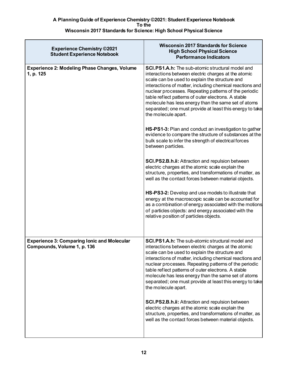| <b>Experience Chemistry ©2021</b><br><b>Student Experience Notebook</b>           | <b>Wisconsin 2017 Standards for Science</b><br><b>High School Physical Science</b><br><b>Performance Indicators</b>                                                                                                                                                                                                                                                                                                                                                                    |
|-----------------------------------------------------------------------------------|----------------------------------------------------------------------------------------------------------------------------------------------------------------------------------------------------------------------------------------------------------------------------------------------------------------------------------------------------------------------------------------------------------------------------------------------------------------------------------------|
| <b>Experience 2: Modeling Phase Changes, Volume</b><br>1, p. 125                  | <b>SCI.PS1.A.h:</b> The sub-atomic structural model and<br>interactions between electric charges at the atomic<br>scale can be used to explain the structure and<br>interactions of matter, including chemical reactions and<br>nuclear processes. Repeating patterns of the periodic<br>table reflect patterns of outer electrons. A stable<br>molecule has less energy than the same set of atoms<br>separated; one must provide at least this energy to take<br>the molecule apart. |
|                                                                                   | HS-PS1-3: Plan and conduct an investigation to gather<br>evidence to compare the structure of substances at the<br>bulk scale to infer the strength of electrical forces<br>between particles.                                                                                                                                                                                                                                                                                         |
|                                                                                   | SCI.PS2.B.h.ii: Attraction and repulsion between<br>electric charges at the atomic scale explain the<br>structure, properties, and transformations of matter, as<br>well as the contact forces between material objects.                                                                                                                                                                                                                                                               |
|                                                                                   | HS-PS3-2: Develop and use models to illustrate that<br>energy at the macroscopic scale can be accounted for<br>as a combination of energy associated with the motions<br>of particles objects: and energy associated with the<br>relative position of particles objects.                                                                                                                                                                                                               |
| <b>Experience 3: Comparing Ionic and Molecular</b><br>Compounds, Volume 1, p. 136 | <b>SCI.PS1.A.h:</b> The sub-atomic structural model and<br>interactions between electric charges at the atomic<br>scale can be used to explain the structure and<br>interactions of matter, including chemical reactions and<br>nuclear processes. Repeating patterns of the periodic<br>table reflect patterns of outer electrons. A stable<br>molecule has less energy than the same set of atoms<br>separated; one must provide at least this energy to take<br>the molecule apart. |
|                                                                                   | <b>SCI.PS2.B.h.ii: Attraction and repulsion between</b><br>electric charges at the atomic scale explain the<br>structure, properties, and transformations of matter, as<br>well as the contact forces between material objects.                                                                                                                                                                                                                                                        |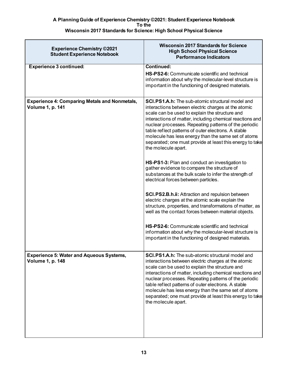| <b>Experience Chemistry ©2021</b><br><b>Student Experience Notebook</b>         | <b>Wisconsin 2017 Standards for Science</b><br><b>High School Physical Science</b><br><b>Performance Indicators</b>                                                                                                                                                                                                                                                                                                                                                                                                                                                                                                                                                                                                                                                                                                                                                                                                                                                                                                                                                                     |
|---------------------------------------------------------------------------------|-----------------------------------------------------------------------------------------------------------------------------------------------------------------------------------------------------------------------------------------------------------------------------------------------------------------------------------------------------------------------------------------------------------------------------------------------------------------------------------------------------------------------------------------------------------------------------------------------------------------------------------------------------------------------------------------------------------------------------------------------------------------------------------------------------------------------------------------------------------------------------------------------------------------------------------------------------------------------------------------------------------------------------------------------------------------------------------------|
| <b>Experience 3 continued:</b>                                                  | Continued:<br>HS-PS2-6: Communicate scientific and technical<br>information about why the molecular-level structure is<br>important in the functioning of designed materials.                                                                                                                                                                                                                                                                                                                                                                                                                                                                                                                                                                                                                                                                                                                                                                                                                                                                                                           |
| <b>Experience 4: Comparing Metals and Nonmetals,</b><br><b>Volume 1, p. 141</b> | SCI.PS1.A.h: The sub-atomic structural model and<br>interactions between electric charges at the atomic<br>scale can be used to explain the structure and<br>interactions of matter, including chemical reactions and<br>nuclear processes. Repeating patterns of the periodic<br>table reflect patterns of outer electrons. A stable<br>molecule has less energy than the same set of atoms<br>separated; one must provide at least this energy to take<br>the molecule apart.<br>HS-PS1-3: Plan and conduct an investigation to<br>gather evidence to compare the structure of<br>substances at the bulk scale to infer the strength of<br>electrical forces between particles.<br><b>SCI.PS2.B.h.ii: Attraction and repulsion between</b><br>electric charges at the atomic scale explain the<br>structure, properties, and transformations of matter, as<br>well as the contact forces between material objects.<br>HS-PS2-6: Communicate scientific and technical<br>information about why the molecular-level structure is<br>important in the functioning of designed materials. |
| <b>Experience 5: Water and Aqueous Systems,</b><br><b>Volume 1, p. 148</b>      | SCI.PS1.A.h: The sub-atomic structural model and<br>interactions between electric charges at the atomic<br>scale can be used to explain the structure and<br>interactions of matter, including chemical reactions and<br>nuclear processes. Repeating patterns of the periodic<br>table reflect patterns of outer electrons. A stable<br>molecule has less energy than the same set of atoms<br>separated; one must provide at least this energy to take<br>the molecule apart.                                                                                                                                                                                                                                                                                                                                                                                                                                                                                                                                                                                                         |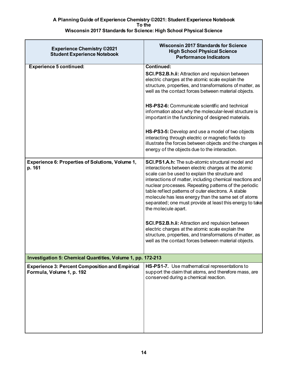| <b>Experience Chemistry ©2021</b><br><b>Student Experience Notebook</b>             | <b>Wisconsin 2017 Standards for Science</b><br><b>High School Physical Science</b><br><b>Performance Indicators</b>                                                                                                                                                                                                                                                                                                                                                                                                                                                                                                                                                                                                |
|-------------------------------------------------------------------------------------|--------------------------------------------------------------------------------------------------------------------------------------------------------------------------------------------------------------------------------------------------------------------------------------------------------------------------------------------------------------------------------------------------------------------------------------------------------------------------------------------------------------------------------------------------------------------------------------------------------------------------------------------------------------------------------------------------------------------|
| <b>Experience 5 continued:</b>                                                      | <b>Continued:</b><br>SCI.PS2.B.h.ii: Attraction and repulsion between<br>electric charges at the atomic scale explain the<br>structure, properties, and transformations of matter, as<br>well as the contact forces between material objects.<br>HS-PS2-6: Communicate scientific and technical<br>information about why the molecular-level structure is<br>important in the functioning of designed materials.                                                                                                                                                                                                                                                                                                   |
|                                                                                     | <b>HS-PS3-5:</b> Develop and use a model of two objects<br>interacting through electric or magnetic fields to<br>illustrate the forces between objects and the changes in<br>energy of the objects due to the interaction.                                                                                                                                                                                                                                                                                                                                                                                                                                                                                         |
| <b>Experience 6: Properties of Solutions, Volume 1,</b><br>p. 161                   | <b>SCI.PS1.A.h:</b> The sub-atomic structural model and<br>interactions between electric charges at the atomic<br>scale can be used to explain the structure and<br>interactions of matter, including chemical reactions and<br>nuclear processes. Repeating patterns of the periodic<br>table reflect patterns of outer electrons. A stable<br>molecule has less energy than the same set of atoms<br>separated; one must provide at least this energy to take<br>the molecule apart.<br>SCI.PS2.B.h.ii: Attraction and repulsion between<br>electric charges at the atomic scale explain the<br>structure, properties, and transformations of matter, as<br>well as the contact forces between material objects. |
| Investigation 5: Chemical Quantities, Volume 1, pp. 172-213                         |                                                                                                                                                                                                                                                                                                                                                                                                                                                                                                                                                                                                                                                                                                                    |
| <b>Experience 3: Percent Composition and Empirical</b><br>Formula, Volume 1, p. 192 | HS-PS1-7. Use mathematical representations to<br>support the claim that atoms, and therefore mass, are<br>conserved during a chemical reaction.                                                                                                                                                                                                                                                                                                                                                                                                                                                                                                                                                                    |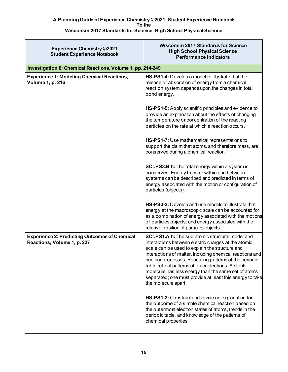| <b>Experience Chemistry ©2021</b><br><b>Student Experience Notebook</b>             | <b>Wisconsin 2017 Standards for Science</b><br><b>High School Physical Science</b><br><b>Performance Indicators</b>                                                                                                                                                                                                                                                                                                                                                             |
|-------------------------------------------------------------------------------------|---------------------------------------------------------------------------------------------------------------------------------------------------------------------------------------------------------------------------------------------------------------------------------------------------------------------------------------------------------------------------------------------------------------------------------------------------------------------------------|
| Investigation 6: Chemical Reactions, Volume 1, pp. 214-249                          |                                                                                                                                                                                                                                                                                                                                                                                                                                                                                 |
| <b>Experience 1: Modeling Chemical Reactions,</b><br><b>Volume 1, p. 216</b>        | HS-PS1-4: Develop a model to illustrate that the<br>release or absorption of energy from a chemical<br>reaction system depends upon the changes in total<br>bond energy.                                                                                                                                                                                                                                                                                                        |
|                                                                                     | HS-PS1-5: Apply scientific principles and evidence to<br>provide an explanation about the effects of changing<br>the temperature or concentration of the reacting<br>particles on the rate at which a reaction occurs.                                                                                                                                                                                                                                                          |
|                                                                                     | HS-PS1-7: Use mathematical representations to<br>support the claim that atoms, and therefore mass, are<br>conserved during a chemical reaction.                                                                                                                                                                                                                                                                                                                                 |
|                                                                                     | SCI.PS3.B.h: The total energy within a system is<br>conserved. Energy transfer within and between<br>systems can be described and predicted in terms of<br>energy associated with the motion or configuration of<br>particles (objects).                                                                                                                                                                                                                                        |
|                                                                                     | HS-PS3-2: Develop and use models to illustrate that<br>energy at the macroscopic scale can be accounted for<br>as a combination of energy associated with the motions<br>of particles objects: and energy associated with the<br>relative position of particles objects.                                                                                                                                                                                                        |
| <b>Experience 2: Predicting Outcomes of Chemical</b><br>Reactions, Volume 1, p. 227 | SCI.PS1.A.h: The sub-atomic structural model and<br>interactions between electric charges at the atomic<br>scale can be used to explain the structure and<br>interactions of matter, including chemical reactions and<br>nuclear processes. Repeating patterns of the periodic<br>table reflect patterns of outer electrons. A stable<br>molecule has less energy than the same set of atoms<br>separated; one must provide at least this energy to take<br>the molecule apart. |
|                                                                                     | HS-PS1-2: Construct and revise an explanation for<br>the outcome of a simple chemical reaction based on<br>the outermost electron states of atoms, trends in the<br>periodic table, and knowledge of the patterns of<br>chemical properties.                                                                                                                                                                                                                                    |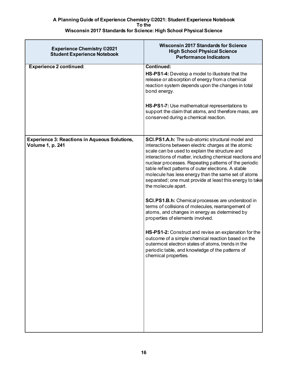| <b>Experience Chemistry ©2021</b><br><b>Student Experience Notebook</b>         | <b>Wisconsin 2017 Standards for Science</b><br><b>High School Physical Science</b><br><b>Performance Indicators</b>                                                                                                                                                                                                                                                                                                                                                                                                                                                                                                                                                                                                                                                                                                                                                                                                                    |
|---------------------------------------------------------------------------------|----------------------------------------------------------------------------------------------------------------------------------------------------------------------------------------------------------------------------------------------------------------------------------------------------------------------------------------------------------------------------------------------------------------------------------------------------------------------------------------------------------------------------------------------------------------------------------------------------------------------------------------------------------------------------------------------------------------------------------------------------------------------------------------------------------------------------------------------------------------------------------------------------------------------------------------|
| <b>Experience 2 continued:</b>                                                  | Continued:<br>HS-PS1-4: Develop a model to illustrate that the<br>release or absorption of energy from a chemical<br>reaction system depends upon the changes in total<br>bond energy.<br>HS-PS1-7: Use mathematical representations to<br>support the claim that atoms, and therefore mass, are<br>conserved during a chemical reaction.                                                                                                                                                                                                                                                                                                                                                                                                                                                                                                                                                                                              |
| <b>Experience 3: Reactions in Aqueous Solutions,</b><br><b>Volume 1, p. 241</b> | SCI.PS1.A.h: The sub-atomic structural model and<br>interactions between electric charges at the atomic<br>scale can be used to explain the structure and<br>interactions of matter, including chemical reactions and<br>nuclear processes. Repeating patterns of the periodic<br>table reflect patterns of outer electrons. A stable<br>molecule has less energy than the same set of atoms<br>separated; one must provide at least this energy to take<br>the molecule apart.<br><b>SCI.PS1.B.h:</b> Chemical processes are understood in<br>terms of collisions of molecules, rearrangement of<br>atoms, and changes in energy as determined by<br>properties of elements involved.<br>HS-PS1-2: Construct and revise an explanation for the<br>outcome of a simple chemical reaction based on the<br>outermost electron states of atoms, trends in the<br>periodic table, and knowledge of the patterns of<br>chemical properties. |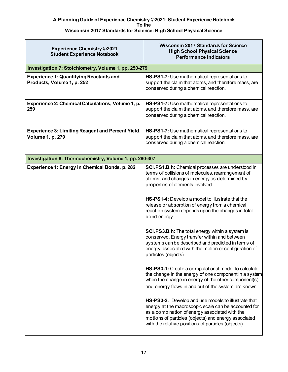| <b>Experience Chemistry ©2021</b><br><b>Student Experience Notebook</b>             | <b>Wisconsin 2017 Standards for Science</b><br><b>High School Physical Science</b><br><b>Performance Indicators</b>                                                                                                                                                                                                                                                                                                                                                                                                                                                                                                                                                                                                                                                                                                                                                                                               |
|-------------------------------------------------------------------------------------|-------------------------------------------------------------------------------------------------------------------------------------------------------------------------------------------------------------------------------------------------------------------------------------------------------------------------------------------------------------------------------------------------------------------------------------------------------------------------------------------------------------------------------------------------------------------------------------------------------------------------------------------------------------------------------------------------------------------------------------------------------------------------------------------------------------------------------------------------------------------------------------------------------------------|
| Investigation 7: Stoichiometry, Volume 1, pp. 250-279                               |                                                                                                                                                                                                                                                                                                                                                                                                                                                                                                                                                                                                                                                                                                                                                                                                                                                                                                                   |
| <b>Experience 1: Quantifying Reactants and</b><br>Products, Volume 1, p. 252        | HS-PS1-7: Use mathematical representations to<br>support the claim that atoms, and therefore mass, are<br>conserved during a chemical reaction.                                                                                                                                                                                                                                                                                                                                                                                                                                                                                                                                                                                                                                                                                                                                                                   |
| Experience 2: Chemical Calculations, Volume 1, p.<br>259                            | HS-PS1-7: Use mathematical representations to<br>support the claim that atoms, and therefore mass, are<br>conserved during a chemical reaction.                                                                                                                                                                                                                                                                                                                                                                                                                                                                                                                                                                                                                                                                                                                                                                   |
| <b>Experience 3: Limiting Reagent and Percent Yield,</b><br><b>Volume 1, p. 279</b> | HS-PS1-7: Use mathematical representations to<br>support the claim that atoms, and therefore mass, are<br>conserved during a chemical reaction.                                                                                                                                                                                                                                                                                                                                                                                                                                                                                                                                                                                                                                                                                                                                                                   |
| Investigation 8: Thermochemistry, Volume 1, pp. 280-307                             |                                                                                                                                                                                                                                                                                                                                                                                                                                                                                                                                                                                                                                                                                                                                                                                                                                                                                                                   |
| Experience 1: Energy in Chemical Bonds, p. 282                                      | SCI.PS1.B.h: Chemical processes are understood in<br>terms of collisions of molecules, rearrangement of<br>atoms, and changes in energy as determined by<br>properties of elements involved.<br>HS-PS1-4: Develop a model to illustrate that the<br>release or absorption of energy from a chemical<br>reaction system depends upon the changes in total<br>bond energy.<br><b>SCI.PS3.B.h:</b> The total energy within a system is<br>conserved. Energy transfer within and between<br>systems can be described and predicted in terms of<br>energy associated with the motion or configuration of<br>particles (objects).<br>HS-PS3-1: Create a computational model to calculate<br>the change in the energy of one component in a system<br>when the change in energy of the other component(s)<br>and energy flows in and out of the system are known.<br>HS-PS3-2. Develop and use models to illustrate that |
|                                                                                     | energy at the macroscopic scale can be accounted for<br>as a combination of energy associated with the<br>motions of particles (objects) and energy associated<br>with the relative positions of particles (objects).                                                                                                                                                                                                                                                                                                                                                                                                                                                                                                                                                                                                                                                                                             |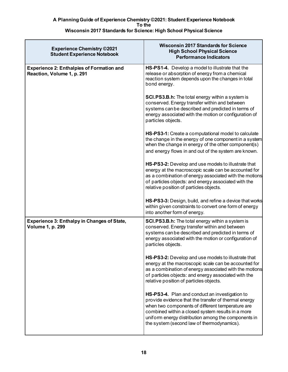| <b>Experience Chemistry ©2021</b><br><b>Student Experience Notebook</b>        | <b>Wisconsin 2017 Standards for Science</b><br><b>High School Physical Science</b><br><b>Performance Indicators</b>                                                                                                                                                                                                  |
|--------------------------------------------------------------------------------|----------------------------------------------------------------------------------------------------------------------------------------------------------------------------------------------------------------------------------------------------------------------------------------------------------------------|
| <b>Experience 2: Enthalpies of Formation and</b><br>Reaction, Volume 1, p. 291 | HS-PS1-4. Develop a model to illustrate that the<br>release or absorption of energy from a chemical<br>reaction system depends upon the changes in total<br>bond energy.                                                                                                                                             |
|                                                                                | <b>SCI.PS3.B.h:</b> The total energy within a system is<br>conserved. Energy transfer within and between<br>systems can be described and predicted in terms of<br>energy associated with the motion or configuration of<br>particles objects.                                                                        |
|                                                                                | HS-PS3-1: Create a computational model to calculate<br>the change in the energy of one component in a system<br>when the change in energy of the other component(s)<br>and energy flows in and out of the system are known.                                                                                          |
|                                                                                | <b>HS-PS3-2:</b> Develop and use models to illustrate that<br>energy at the macroscopic scale can be accounted for<br>as a combination of energy associated with the motions<br>of particles objects: and energy associated with the<br>relative position of particles objects.                                      |
|                                                                                | HS-PS3-3: Design, build, and refine a device that works<br>within given constraints to convert one form of energy<br>into another form of energy.                                                                                                                                                                    |
| <b>Experience 3: Enthalpy in Changes of State,</b><br><b>Volume 1, p. 299</b>  | <b>SCI.PS3.B.h:</b> The total energy within a system is<br>conserved. Energy transfer within and between<br>systems can be described and predicted in terms of<br>energy associated with the motion or configuration of<br>particles objects.                                                                        |
|                                                                                | <b>HS-PS3-2:</b> Develop and use models to illustrate that<br>energy at the macroscopic scale can be accounted for<br>as a combination of energy associated with the motions<br>of particles objects: and energy associated with the<br>relative position of particles objects.                                      |
|                                                                                | HS-PS3-4. Plan and conduct an investigation to<br>provide evidence that the transfer of thermal energy<br>when two components of different temperature are<br>combined within a closed system results in a more<br>uniform energy distribution among the components in<br>the system (second law of thermodynamics). |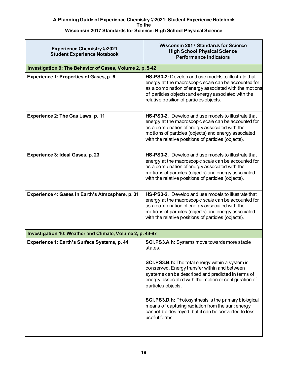| <b>Experience Chemistry ©2021</b><br><b>Student Experience Notebook</b> | <b>Wisconsin 2017 Standards for Science</b><br><b>High School Physical Science</b><br><b>Performance Indicators</b>                                                                                                                                                          |
|-------------------------------------------------------------------------|------------------------------------------------------------------------------------------------------------------------------------------------------------------------------------------------------------------------------------------------------------------------------|
| Investigation 9: The Behavior of Gases, Volume 2, p. 5-42               |                                                                                                                                                                                                                                                                              |
| <b>Experience 1: Properties of Gases, p. 6</b>                          | HS-PS3-2: Develop and use models to illustrate that<br>energy at the macroscopic scale can be accounted for<br>as a combination of energy associated with the motions<br>of particles objects: and energy associated with the<br>relative position of particles objects.     |
| Experience 2: The Gas Laws, p. 11                                       | HS-PS3-2. Develop and use models to illustrate that<br>energy at the macroscopic scale can be accounted for<br>as a combination of energy associated with the<br>motions of particles (objects) and energy associated<br>with the relative positions of particles (objects). |
| Experience 3: Ideal Gases, p. 23                                        | HS-PS3-2. Develop and use models to illustrate that<br>energy at the macroscopic scale can be accounted for<br>as a combination of energy associated with the<br>motions of particles (objects) and energy associated<br>with the relative positions of particles (objects). |
| Experience 4: Gases in Earth's Atmosphere, p. 31                        | HS-PS3-2. Develop and use models to illustrate that<br>energy at the macroscopic scale can be accounted for<br>as a combination of energy associated with the<br>motions of particles (objects) and energy associated<br>with the relative positions of particles (objects). |
| Investigation 10: Weather and Climate, Volume 2, p. 43-97               |                                                                                                                                                                                                                                                                              |
| Experience 1: Earth's Surface Systems, p. 44                            | <b>SCI.PS3.A.h:</b> Systems move towards more stable<br>states.                                                                                                                                                                                                              |
|                                                                         | <b>SCI.PS3.B.h:</b> The total energy within a system is<br>conserved. Energy transfer within and between<br>systems can be described and predicted in terms of<br>energy associated with the motion or configuration of<br>particles objects.                                |
|                                                                         | <b>SCI.PS3.D.h:</b> Photosynthesis is the primary biological<br>means of capturing radiation from the sun; energy<br>cannot be destroyed, but it can be converted to less<br>useful forms.                                                                                   |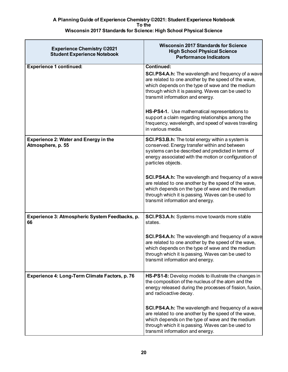| <b>Experience Chemistry ©2021</b><br><b>Student Experience Notebook</b> | <b>Wisconsin 2017 Standards for Science</b><br><b>High School Physical Science</b><br><b>Performance Indicators</b>                                                                                                                                                                  |
|-------------------------------------------------------------------------|--------------------------------------------------------------------------------------------------------------------------------------------------------------------------------------------------------------------------------------------------------------------------------------|
| <b>Experience 1 continued:</b>                                          | <b>Continued:</b><br><b>SCI.PS4.A.h:</b> The wavelength and frequency of a wave<br>are related to one another by the speed of the wave,<br>which depends on the type of wave and the medium<br>through which it is passing. Waves can be used to<br>transmit information and energy. |
|                                                                         | HS-PS4-1. Use mathematical representations to<br>support a claim regarding relationships among the<br>frequency, wavelength, and speed of waves traveling<br>in various media.                                                                                                       |
| <b>Experience 2: Water and Energy in the</b><br>Atmosphere, p. 55       | <b>SCI.PS3.B.h:</b> The total energy within a system is<br>conserved. Energy transfer within and between<br>systems can be described and predicted in terms of<br>energy associated with the motion or configuration of<br>particles objects.                                        |
|                                                                         | <b>SCI.PS4.A.h:</b> The wavelength and frequency of a wave<br>are related to one another by the speed of the wave,<br>which depends on the type of wave and the medium<br>through which it is passing. Waves can be used to<br>transmit information and energy.                      |
| Experience 3: Atmospheric System Feedbacks, p.<br>66                    | <b>SCI.PS3.A.h:</b> Systems move towards more stable<br>states.                                                                                                                                                                                                                      |
|                                                                         | <b>SCI.PS4.A.h:</b> The wavelength and frequency of a wave<br>are related to one another by the speed of the wave,<br>which depends on the type of wave and the medium<br>through which it is passing. Waves can be used to<br>transmit information and energy.                      |
| Experience 4: Long-Term Climate Factors, p. 76                          | HS-PS1-8: Develop models to illustrate the changes in<br>the composition of the nucleus of the atom and the<br>energy released during the processes of fission, fusion,<br>and radioactive decay.                                                                                    |
|                                                                         | <b>SCI.PS4.A.h:</b> The wavelength and frequency of a wave<br>are related to one another by the speed of the wave,<br>which depends on the type of wave and the medium<br>through which it is passing. Waves can be used to<br>transmit information and energy.                      |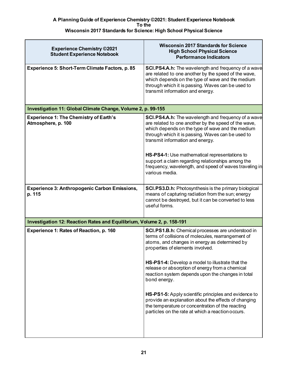| <b>Experience Chemistry ©2021</b><br><b>Student Experience Notebook</b> | <b>Wisconsin 2017 Standards for Science</b><br><b>High School Physical Science</b><br><b>Performance Indicators</b>                                                                                                                                                                                                                                                                                                                                                                                                                                                                                |
|-------------------------------------------------------------------------|----------------------------------------------------------------------------------------------------------------------------------------------------------------------------------------------------------------------------------------------------------------------------------------------------------------------------------------------------------------------------------------------------------------------------------------------------------------------------------------------------------------------------------------------------------------------------------------------------|
| Experience 5: Short-Term Climate Factors, p. 85                         | <b>SCI.PS4.A.h:</b> The wavelength and frequency of a wave<br>are related to one another by the speed of the wave,<br>which depends on the type of wave and the medium<br>through which it is passing. Waves can be used to<br>transmit information and energy.                                                                                                                                                                                                                                                                                                                                    |
| Investigation 11: Global Climate Change, Volume 2, p. 99-155            |                                                                                                                                                                                                                                                                                                                                                                                                                                                                                                                                                                                                    |
| <b>Experience 1: The Chemistry of Earth's</b><br>Atmosphere, p. 100     | SCI.PS4.A.h: The wavelength and frequency of a wave<br>are related to one another by the speed of the wave,<br>which depends on the type of wave and the medium<br>through which it is passing. Waves can be used to<br>transmit information and energy.<br>HS-PS4-1: Use mathematical representations to<br>support a claim regarding relationships among the<br>frequency, wavelength, and speed of waves traveling in<br>various media.                                                                                                                                                         |
| <b>Experience 3: Anthropogenic Carbon Emissions,</b><br>p. 115          | SCI.PS3.D.h: Photosynthesis is the primary biological<br>means of capturing radiation from the sun; energy<br>cannot be destroyed, but it can be converted to less<br>useful forms.                                                                                                                                                                                                                                                                                                                                                                                                                |
| Investigation 12: Reaction Rates and Equilibrium, Volume 2, p. 158-191  |                                                                                                                                                                                                                                                                                                                                                                                                                                                                                                                                                                                                    |
| Experience 1: Rates of Reaction, p. 160                                 | SCI.PS1.B.h: Chemical processes are understood in<br>terms of collisions of molecules, rearrangement of<br>atoms, and changes in energy as determined by<br>properties of elements involved.<br>HS-PS1-4: Develop a model to illustrate that the<br>release or absorption of energy from a chemical<br>reaction system depends upon the changes in total<br>bond energy.<br>HS-PS1-5: Apply scientific principles and evidence to<br>provide an explanation about the effects of changing<br>the temperature or concentration of the reacting<br>particles on the rate at which a reaction occurs. |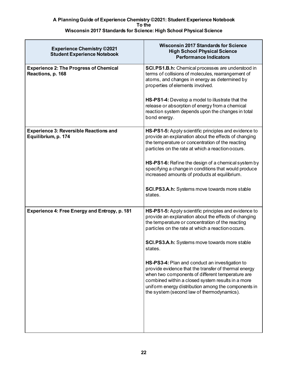| <b>Experience Chemistry ©2021</b><br><b>Student Experience Notebook</b> | <b>Wisconsin 2017 Standards for Science</b><br><b>High School Physical Science</b><br><b>Performance Indicators</b>                                                                                                                                                                                                  |
|-------------------------------------------------------------------------|----------------------------------------------------------------------------------------------------------------------------------------------------------------------------------------------------------------------------------------------------------------------------------------------------------------------|
| <b>Experience 2: The Progress of Chemical</b><br>Reactions, p. 168      | <b>SCI.PS1.B.h:</b> Chemical processes are understood in<br>terms of collisions of molecules, rearrangement of<br>atoms, and changes in energy as determined by<br>properties of elements involved.                                                                                                                  |
|                                                                         | <b>HS-PS1-4:</b> Develop a model to illustrate that the<br>release or absorption of energy from a chemical<br>reaction system depends upon the changes in total<br>bond energy.                                                                                                                                      |
| <b>Experience 3: Reversible Reactions and</b><br>Equilibrium, p. 174    | HS-PS1-5: Apply scientific principles and evidence to<br>provide an explanation about the effects of changing<br>the temperature or concentration of the reacting<br>particles on the rate at which a reaction occurs.                                                                                               |
|                                                                         | HS-PS1-6: Refine the design of a chemical system by<br>specifying a change in conditions that would produce<br>increased amounts of products at equilibrium.                                                                                                                                                         |
|                                                                         | <b>SCI.PS3.A.h:</b> Systems move towards more stable<br>states.                                                                                                                                                                                                                                                      |
| Experience 4: Free Energy and Entropy, p. 181                           | HS-PS1-5: Apply scientific principles and evidence to<br>provide an explanation about the effects of changing<br>the temperature or concentration of the reacting<br>particles on the rate at which a reaction occurs.                                                                                               |
|                                                                         | <b>SCI.PS3.A.h:</b> Systems move towards more stable<br>states.                                                                                                                                                                                                                                                      |
|                                                                         | HS-PS3-4: Plan and conduct an investigation to<br>provide evidence that the transfer of thermal energy<br>when two components of different temperature are<br>combined within a closed system results in a more<br>uniform energy distribution among the components in<br>the system (second law of thermodynamics). |
|                                                                         |                                                                                                                                                                                                                                                                                                                      |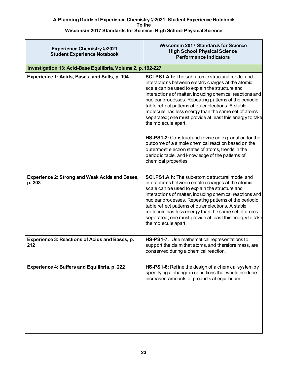| <b>Experience Chemistry ©2021</b><br><b>Student Experience Notebook</b> | <b>Wisconsin 2017 Standards for Science</b><br><b>High School Physical Science</b><br><b>Performance Indicators</b>                                                                                                                                                                                                                                                                                                                                                             |
|-------------------------------------------------------------------------|---------------------------------------------------------------------------------------------------------------------------------------------------------------------------------------------------------------------------------------------------------------------------------------------------------------------------------------------------------------------------------------------------------------------------------------------------------------------------------|
| Investigation 13: Acid-Base Equilibria, Volume 2, p. 192-227            |                                                                                                                                                                                                                                                                                                                                                                                                                                                                                 |
| Experience 1: Acids, Bases, and Salts, p. 194                           | SCI.PS1.A.h: The sub-atomic structural model and<br>interactions between electric charges at the atomic<br>scale can be used to explain the structure and<br>interactions of matter, including chemical reactions and<br>nuclear processes. Repeating patterns of the periodic<br>table reflect patterns of outer electrons. A stable<br>molecule has less energy than the same set of atoms<br>separated; one must provide at least this energy to take<br>the molecule apart. |
|                                                                         | HS-PS1-2: Construct and revise an explanation for the<br>outcome of a simple chemical reaction based on the<br>outermost electron states of atoms, trends in the<br>periodic table, and knowledge of the patterns of<br>chemical properties.                                                                                                                                                                                                                                    |
| <b>Experience 2: Strong and Weak Acids and Bases,</b><br>p. 203         | SCI.PS1.A.h: The sub-atomic structural model and<br>interactions between electric charges at the atomic<br>scale can be used to explain the structure and<br>interactions of matter, including chemical reactions and<br>nuclear processes. Repeating patterns of the periodic<br>table reflect patterns of outer electrons. A stable<br>molecule has less energy than the same set of atoms<br>separated; one must provide at least this energy to take<br>the molecule apart. |
| Experience 3: Reactions of Acids and Bases, p.<br>212                   | HS-PS1-7. Use mathematical representations to<br>support the claim that atoms, and therefore mass, are<br>conserved during a chemical reaction.                                                                                                                                                                                                                                                                                                                                 |
| Experience 4: Buffers and Equilibria, p. 222                            | HS-PS1-6: Refine the design of a chemical system by<br>specifying a change in conditions that would produce<br>increased amounts of products at equilibrium.                                                                                                                                                                                                                                                                                                                    |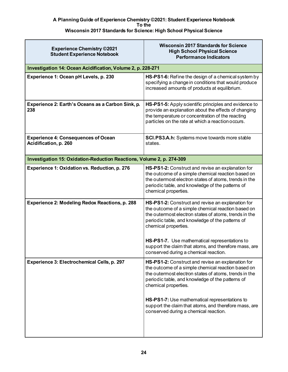| <b>Experience Chemistry ©2021</b><br><b>Student Experience Notebook</b> | <b>Wisconsin 2017 Standards for Science</b><br><b>High School Physical Science</b><br><b>Performance Indicators</b>                                                                                                                                                                                                                                    |
|-------------------------------------------------------------------------|--------------------------------------------------------------------------------------------------------------------------------------------------------------------------------------------------------------------------------------------------------------------------------------------------------------------------------------------------------|
| Investigation 14: Ocean Acidification, Volume 2, p. 228-271             |                                                                                                                                                                                                                                                                                                                                                        |
| Experience 1: Ocean pH Levels, p. 230                                   | HS-PS1-6: Refine the design of a chemical system by<br>specifying a change in conditions that would produce<br>increased amounts of products at equilibrium.                                                                                                                                                                                           |
| Experience 2: Earth's Oceans as a Carbon Sink, p.<br>238                | HS-PS1-5: Apply scientific principles and evidence to<br>provide an explanation about the effects of changing<br>the temperature or concentration of the reacting<br>particles on the rate at which a reaction occurs.                                                                                                                                 |
| <b>Experience 4: Consequences of Ocean</b><br>Acidification, p. 260     | <b>SCI.PS3.A.h:</b> Systems move towards more stable<br>states.                                                                                                                                                                                                                                                                                        |
| Investigation 15: Oxidation-Reduction Reactions, Volume 2, p. 274-309   |                                                                                                                                                                                                                                                                                                                                                        |
| Experience 1: Oxidation vs. Reduction, p. 276                           | HS-PS1-2: Construct and revise an explanation for<br>the outcome of a simple chemical reaction based on<br>the outermost electron states of atoms, trends in the<br>periodic table, and knowledge of the patterns of<br>chemical properties.                                                                                                           |
| Experience 2: Modeling Redox Reactions, p. 288                          | HS-PS1-2: Construct and revise an explanation for<br>the outcome of a simple chemical reaction based on<br>the outermost electron states of atoms, trends in the<br>periodic table, and knowledge of the patterns of<br>chemical properties.<br>HS-PS1-7. Use mathematical representations to<br>support the claim that atoms, and therefore mass, are |
|                                                                         | conserved during a chemical reaction.                                                                                                                                                                                                                                                                                                                  |
| Experience 3: Electrochemical Cells, p. 297                             | HS-PS1-2: Construct and revise an explanation for<br>the outcome of a simple chemical reaction based on<br>the outermost electron states of atoms, trends in the<br>periodic table, and knowledge of the patterns of<br>chemical properties.<br>HS-PS1-7: Use mathematical representations to<br>support the claim that atoms, and therefore mass, are |
|                                                                         | conserved during a chemical reaction.                                                                                                                                                                                                                                                                                                                  |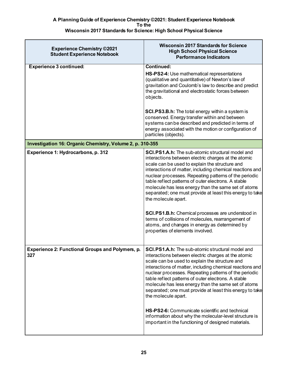| <b>Experience Chemistry ©2021</b><br><b>Student Experience Notebook</b> | <b>Wisconsin 2017 Standards for Science</b><br><b>High School Physical Science</b><br><b>Performance Indicators</b>                                                                                                                                                                                                                                                                                                                                                                                                                                                                                                                                                             |
|-------------------------------------------------------------------------|---------------------------------------------------------------------------------------------------------------------------------------------------------------------------------------------------------------------------------------------------------------------------------------------------------------------------------------------------------------------------------------------------------------------------------------------------------------------------------------------------------------------------------------------------------------------------------------------------------------------------------------------------------------------------------|
| <b>Experience 3 continued:</b>                                          | <b>Continued:</b><br>HS-PS2-4: Use mathematical representations<br>(qualitative and quantitative) of Newton's law of<br>gravitation and Coulomb's law to describe and predict<br>the gravitational and electrostatic forces between<br>objects.                                                                                                                                                                                                                                                                                                                                                                                                                                 |
|                                                                         | <b>SCI.PS3.B.h:</b> The total energy within a system is<br>conserved. Energy transfer within and between<br>systems can be described and predicted in terms of<br>energy associated with the motion or configuration of<br>particles (objects).                                                                                                                                                                                                                                                                                                                                                                                                                                 |
| Investigation 16: Organic Chemistry, Volume 2, p. 310-355               |                                                                                                                                                                                                                                                                                                                                                                                                                                                                                                                                                                                                                                                                                 |
| Experience 1: Hydrocarbons, p. 312                                      | SCI.PS1.A.h: The sub-atomic structural model and<br>interactions between electric charges at the atomic<br>scale can be used to explain the structure and<br>interactions of matter, including chemical reactions and<br>nuclear processes. Repeating patterns of the periodic<br>table reflect patterns of outer electrons. A stable<br>molecule has less energy than the same set of atoms<br>separated; one must provide at least this energy to take<br>the molecule apart.<br>SCI.PS1.B.h: Chemical processes are understood in<br>terms of collisions of molecules, rearrangement of<br>atoms, and changes in energy as determined by<br>properties of elements involved. |
| Experience 2: Functional Groups and Polymers, p.<br>327                 | <b>SCI.PS1.A.h:</b> The sub-atomic structural model and<br>interactions between electric charges at the atomic<br>scale can be used to explain the structure and<br>interactions of matter, including chemical reactions and<br>nuclear processes. Repeating patterns of the periodic<br>table reflect patterns of outer electrons. A stable<br>molecule has less energy than the same set of atoms<br>separated; one must provide at least this energy to take<br>the molecule apart.<br>HS-PS2-6: Communicate scientific and technical<br>information about why the molecular-level structure is<br>important in the functioning of designed materials.                       |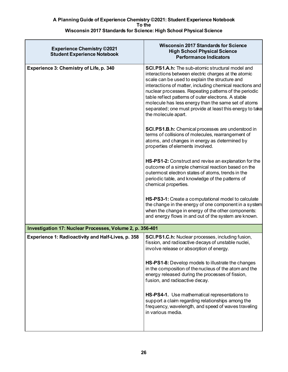| <b>Experience Chemistry ©2021</b><br><b>Student Experience Notebook</b> | <b>Wisconsin 2017 Standards for Science</b><br><b>High School Physical Science</b><br><b>Performance Indicators</b>                                                                                                                                                                                                                                                                                                                                                                    |
|-------------------------------------------------------------------------|----------------------------------------------------------------------------------------------------------------------------------------------------------------------------------------------------------------------------------------------------------------------------------------------------------------------------------------------------------------------------------------------------------------------------------------------------------------------------------------|
| Experience 3: Chemistry of Life, p. 340                                 | <b>SCI.PS1.A.h:</b> The sub-atomic structural model and<br>interactions between electric charges at the atomic<br>scale can be used to explain the structure and<br>interactions of matter, including chemical reactions and<br>nuclear processes. Repeating patterns of the periodic<br>table reflect patterns of outer electrons. A stable<br>molecule has less energy than the same set of atoms<br>separated; one must provide at least this energy to take<br>the molecule apart. |
|                                                                         | <b>SCI.PS1.B.h:</b> Chemical processes are understood in<br>terms of collisions of molecules, rearrangement of<br>atoms, and changes in energy as determined by<br>properties of elements involved.                                                                                                                                                                                                                                                                                    |
|                                                                         | HS-PS1-2: Construct and revise an explanation for the<br>outcome of a simple chemical reaction based on the<br>outermost electron states of atoms, trends in the<br>periodic table, and knowledge of the patterns of<br>chemical properties.                                                                                                                                                                                                                                           |
|                                                                         | HS-PS3-1: Create a computational model to calculate<br>the change in the energy of one component in a system<br>when the change in energy of the other components:<br>and energy flows in and out of the system are known.                                                                                                                                                                                                                                                             |
| Investigation 17: Nuclear Processes, Volume 2, p. 356-401               |                                                                                                                                                                                                                                                                                                                                                                                                                                                                                        |
| <b>Experience 1: Radioactivity and Half-Lives, p. 358</b>               | SCI.PS1.C.h: Nuclear processes, including fusion,<br>fission, and radioactive decays of unstable nuclei,<br>involve release or absorption of energy.                                                                                                                                                                                                                                                                                                                                   |
|                                                                         | HS-PS1-8: Develop models to illustrate the changes<br>in the composition of the nucleus of the atom and the<br>energy released during the processes of fission,<br>fusion, and radioactive decay.                                                                                                                                                                                                                                                                                      |
|                                                                         | HS-PS4-1. Use mathematical representations to<br>support a claim regarding relationships among the<br>frequency, wavelength, and speed of waves traveling<br>in various media.                                                                                                                                                                                                                                                                                                         |
|                                                                         |                                                                                                                                                                                                                                                                                                                                                                                                                                                                                        |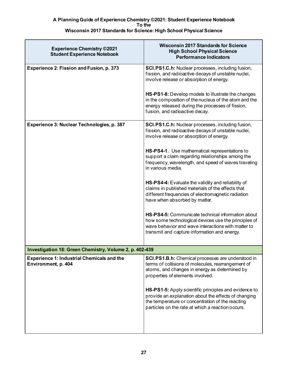| <b>Experience Chemistry ©2021</b><br><b>Student Experience Notebook</b>  | <b>Wisconsin 2017 Standards for Science</b><br><b>High School Physical Science</b><br><b>Performance Indicators</b>                                                                                                                                   |
|--------------------------------------------------------------------------|-------------------------------------------------------------------------------------------------------------------------------------------------------------------------------------------------------------------------------------------------------|
| Experience 2: Fission and Fusion, p. 373                                 | SCI.PS1.C.h: Nuclear processes, including fusion,<br>fission, and radioactive decays of unstable nuclei,<br>involve release or absorption of energy.                                                                                                  |
|                                                                          | HS-PS1-8: Develop models to illustrate the changes<br>in the composition of the nucleus of the atom and the<br>energy released during the processes of fission,<br>fusion, and radioactive decay.                                                     |
| Experience 3: Nuclear Technologies, p. 387                               | SCI.PS1.C.h: Nuclear processes, including fusion,<br>fission, and radioactive decays of unstable nuclei,<br>involve release or absorption of energy.                                                                                                  |
|                                                                          | HS-PS4-1. Use mathematical representations to<br>support a claim regarding relationships among the<br>frequency, wavelength, and speed of waves traveling<br>in various media.                                                                        |
|                                                                          | HS-PS4-4: Evaluate the validity and reliability of<br>claims in published materials of the effects that<br>different frequencies of electromagnetic radiation<br>have when absorbed by matter.                                                        |
|                                                                          | <b>HS-PS4-5:</b> Communicate technical information about<br>how some technological devices use the principles of<br>wave behavior and wave interactions with matter to<br>transmit and capture information and energy.                                |
| Investigation 18: Green Chemistry, Volume 2, p. 402-439                  |                                                                                                                                                                                                                                                       |
| <b>Experience 1: Industrial Chemicals and the</b><br>Environment, p. 404 | SCI.PS1.B.h: Chemical processes are understood in<br>terms of collisions of molecules, rearrangement of<br>atoms, and changes in energy as determined by<br>properties of elements involved.<br>HS-PS1-5: Apply scientific principles and evidence to |
|                                                                          | provide an explanation about the effects of changing<br>the temperature or concentration of the reacting<br>particles on the rate at which a reaction occurs.                                                                                         |